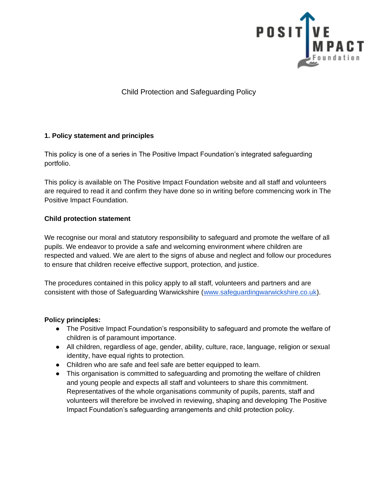

Child Protection and Safeguarding Policy

# **1. Policy statement and principles**

This policy is one of a series in The Positive Impact Foundation's integrated safeguarding portfolio.

This policy is available on The Positive Impact Foundation website and all staff and volunteers are required to read it and confirm they have done so in writing before commencing work in The Positive Impact Foundation.

# **Child protection statement**

We recognise our moral and statutory responsibility to safeguard and promote the welfare of all pupils. We endeavor to provide a safe and welcoming environment where children are respected and valued. We are alert to the signs of abuse and neglect and follow our procedures to ensure that children receive effective support, protection, and justice.

The procedures contained in this policy apply to all staff, volunteers and partners and are consistent with those of Safeguarding Warwickshire [\(www.safeguardingwarwickshire.co.uk\)](http://www.safeguardingwarwickshire.co.uk/).

### **Policy principles:**

- The Positive Impact Foundation's responsibility to safeguard and promote the welfare of children is of paramount importance.
- All children, regardless of age, gender, ability, culture, race, language, religion or sexual identity, have equal rights to protection.
- Children who are safe and feel safe are better equipped to learn.
- This organisation is committed to safeguarding and promoting the welfare of children and young people and expects all staff and volunteers to share this commitment. Representatives of the whole organisations community of pupils, parents, staff and volunteers will therefore be involved in reviewing, shaping and developing The Positive Impact Foundation's safeguarding arrangements and child protection policy.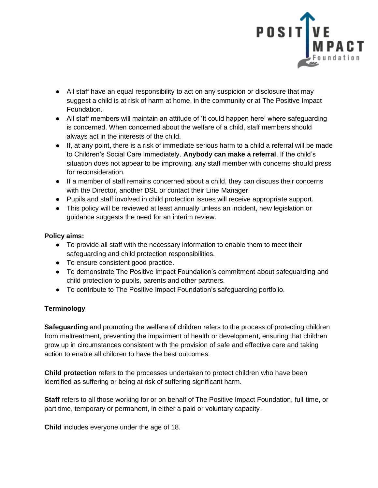

- All staff have an equal responsibility to act on any suspicion or disclosure that may suggest a child is at risk of harm at home, in the community or at The Positive Impact Foundation.
- All staff members will maintain an attitude of 'It could happen here' where safeguarding is concerned. When concerned about the welfare of a child, staff members should always act in the interests of the child.
- If, at any point, there is a risk of immediate serious harm to a child a referral will be made to Children's Social Care immediately. **Anybody can make a referral**. If the child's situation does not appear to be improving, any staff member with concerns should press for reconsideration.
- If a member of staff remains concerned about a child, they can discuss their concerns with the Director, another DSL or contact their Line Manager.
- Pupils and staff involved in child protection issues will receive appropriate support.
- This policy will be reviewed at least annually unless an incident, new legislation or guidance suggests the need for an interim review.

### **Policy aims:**

- To provide all staff with the necessary information to enable them to meet their safeguarding and child protection responsibilities.
- To ensure consistent good practice.
- To demonstrate The Positive Impact Foundation's commitment about safeguarding and child protection to pupils, parents and other partners.
- To contribute to The Positive Impact Foundation's safeguarding portfolio.

# **Terminology**

**Safeguarding** and promoting the welfare of children refers to the process of protecting children from maltreatment, preventing the impairment of health or development, ensuring that children grow up in circumstances consistent with the provision of safe and effective care and taking action to enable all children to have the best outcomes.

**Child protection** refers to the processes undertaken to protect children who have been identified as suffering or being at risk of suffering significant harm.

**Staff** refers to all those working for or on behalf of The Positive Impact Foundation, full time, or part time, temporary or permanent, in either a paid or voluntary capacity.

**Child** includes everyone under the age of 18.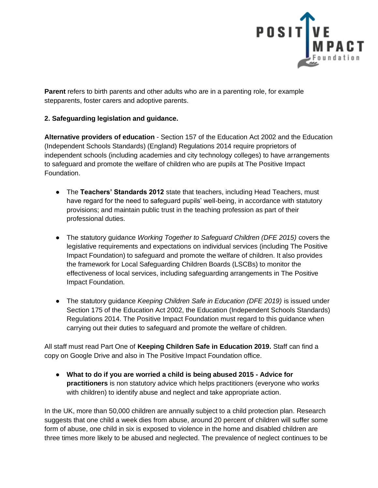

**Parent** refers to birth parents and other adults who are in a parenting role, for example stepparents, foster carers and adoptive parents.

# **2. Safeguarding legislation and guidance.**

**Alternative providers of education** - Section 157 of the Education Act 2002 and the Education (Independent Schools Standards) (England) Regulations 2014 require proprietors of independent schools (including academies and city technology colleges) to have arrangements to safeguard and promote the welfare of children who are pupils at The Positive Impact Foundation.

- The **Teachers' Standards 2012** state that teachers, including Head Teachers, must have regard for the need to safeguard pupils' well-being, in accordance with statutory provisions; and maintain public trust in the teaching profession as part of their professional duties.
- The statutory guidance *Working Together to Safeguard Children (DFE 2015)* covers the legislative requirements and expectations on individual services (including The Positive Impact Foundation) to safeguard and promote the welfare of children. It also provides the framework for Local Safeguarding Children Boards (LSCBs) to monitor the effectiveness of local services, including safeguarding arrangements in The Positive Impact Foundation.
- The statutory guidance *Keeping Children Safe in Education (DFE 2019)* is issued under Section 175 of the Education Act 2002, the Education (Independent Schools Standards) Regulations 2014. The Positive Impact Foundation must regard to this guidance when carrying out their duties to safeguard and promote the welfare of children.

All staff must read Part One of **Keeping Children Safe in Education 2019.** Staff can find a copy on Google Drive and also in The Positive Impact Foundation office.

● **What to do if you are worried a child is being abused 2015 - Advice for practitioners** is non statutory advice which helps practitioners (everyone who works with children) to identify abuse and neglect and take appropriate action.

In the UK, more than 50,000 children are annually subject to a child protection plan. Research suggests that one child a week dies from abuse, around 20 percent of children will suffer some form of abuse, one child in six is exposed to violence in the home and disabled children are three times more likely to be abused and neglected. The prevalence of neglect continues to be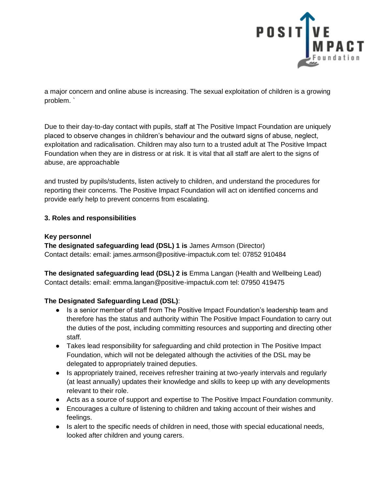

a major concern and online abuse is increasing. The sexual exploitation of children is a growing problem. `

Due to their day-to-day contact with pupils, staff at The Positive Impact Foundation are uniquely placed to observe changes in children's behaviour and the outward signs of abuse, neglect, exploitation and radicalisation. Children may also turn to a trusted adult at The Positive Impact Foundation when they are in distress or at risk. It is vital that all staff are alert to the signs of abuse, are approachable

and trusted by pupils/students, listen actively to children, and understand the procedures for reporting their concerns. The Positive Impact Foundation will act on identified concerns and provide early help to prevent concerns from escalating.

### **3. Roles and responsibilities**

### **Key personnel**

**The designated safeguarding lead (DSL) 1 is** James Armson (Director) Contact details: email: james.armson@positive-impactuk.com tel: 07852 910484

**The designated safeguarding lead (DSL) 2 is** Emma Langan (Health and Wellbeing Lead) Contact details: email: emma.langan@positive-impactuk.com tel: 07950 419475

### **The Designated Safeguarding Lead (DSL)**:

- Is a senior member of staff from The Positive Impact Foundation's leadership team and therefore has the status and authority within The Positive Impact Foundation to carry out the duties of the post, including committing resources and supporting and directing other staff.
- Takes lead responsibility for safeguarding and child protection in The Positive Impact Foundation, which will not be delegated although the activities of the DSL may be delegated to appropriately trained deputies.
- Is appropriately trained, receives refresher training at two-yearly intervals and regularly (at least annually) updates their knowledge and skills to keep up with any developments relevant to their role.
- Acts as a source of support and expertise to The Positive Impact Foundation community.
- Encourages a culture of listening to children and taking account of their wishes and feelings.
- Is alert to the specific needs of children in need, those with special educational needs, looked after children and young carers.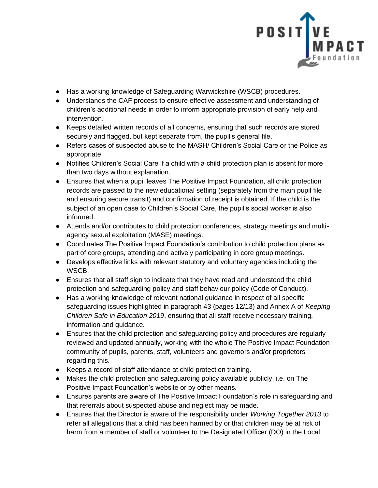

- Has a working knowledge of Safeguarding Warwickshire (WSCB) procedures.
- Understands the CAF process to ensure effective assessment and understanding of children's additional needs in order to inform appropriate provision of early help and intervention.
- Keeps detailed written records of all concerns, ensuring that such records are stored securely and flagged, but kept separate from, the pupil's general file.
- Refers cases of suspected abuse to the MASH/ Children's Social Care or the Police as appropriate.
- Notifies Children's Social Care if a child with a child protection plan is absent for more than two days without explanation.
- Ensures that when a pupil leaves The Positive Impact Foundation, all child protection records are passed to the new educational setting (separately from the main pupil file and ensuring secure transit) and confirmation of receipt is obtained. If the child is the subject of an open case to Children's Social Care, the pupil's social worker is also informed.
- Attends and/or contributes to child protection conferences, strategy meetings and multiagency sexual exploitation (MASE) meetings.
- Coordinates The Positive Impact Foundation's contribution to child protection plans as part of core groups, attending and actively participating in core group meetings.
- Develops effective links with relevant statutory and voluntary agencies including the WSCB.
- Ensures that all staff sign to indicate that they have read and understood the child protection and safeguarding policy and staff behaviour policy (Code of Conduct).
- Has a working knowledge of relevant national guidance in respect of all specific safeguarding issues highlighted in paragraph 43 (pages 12/13) and Annex A of *Keeping Children Safe in Education 2019*, ensuring that all staff receive necessary training, information and guidance.
- Ensures that the child protection and safeguarding policy and procedures are regularly reviewed and updated annually, working with the whole The Positive Impact Foundation community of pupils, parents, staff, volunteers and governors and/or proprietors regarding this.
- Keeps a record of staff attendance at child protection training.
- Makes the child protection and safeguarding policy available publicly, i.e. on The Positive Impact Foundation's website or by other means.
- Ensures parents are aware of The Positive Impact Foundation's role in safeguarding and that referrals about suspected abuse and neglect may be made.
- Ensures that the Director is aware of the responsibility under *Working Together 2013* to refer all allegations that a child has been harmed by or that children may be at risk of harm from a member of staff or volunteer to the Designated Officer (DO) in the Local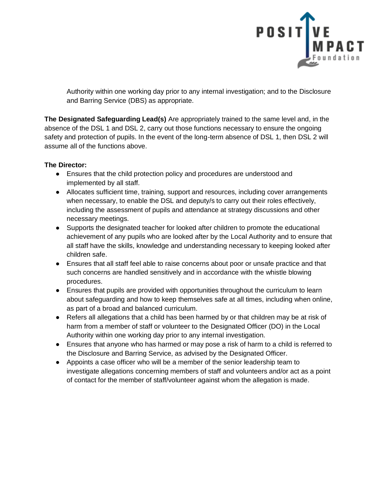

Authority within one working day prior to any internal investigation; and to the Disclosure and Barring Service (DBS) as appropriate.

**The Designated Safeguarding Lead(s)** Are appropriately trained to the same level and, in the absence of the DSL 1 and DSL 2, carry out those functions necessary to ensure the ongoing safety and protection of pupils. In the event of the long-term absence of DSL 1, then DSL 2 will assume all of the functions above.

### **The Director:**

- Ensures that the child protection policy and procedures are understood and implemented by all staff.
- Allocates sufficient time, training, support and resources, including cover arrangements when necessary, to enable the DSL and deputy/s to carry out their roles effectively, including the assessment of pupils and attendance at strategy discussions and other necessary meetings.
- Supports the designated teacher for looked after children to promote the educational achievement of any pupils who are looked after by the Local Authority and to ensure that all staff have the skills, knowledge and understanding necessary to keeping looked after children safe.
- Ensures that all staff feel able to raise concerns about poor or unsafe practice and that such concerns are handled sensitively and in accordance with the whistle blowing procedures.
- Ensures that pupils are provided with opportunities throughout the curriculum to learn about safeguarding and how to keep themselves safe at all times, including when online, as part of a broad and balanced curriculum.
- Refers all allegations that a child has been harmed by or that children may be at risk of harm from a member of staff or volunteer to the Designated Officer (DO) in the Local Authority within one working day prior to any internal investigation.
- Ensures that anyone who has harmed or may pose a risk of harm to a child is referred to the Disclosure and Barring Service, as advised by the Designated Officer.
- Appoints a case officer who will be a member of the senior leadership team to investigate allegations concerning members of staff and volunteers and/or act as a point of contact for the member of staff/volunteer against whom the allegation is made*.*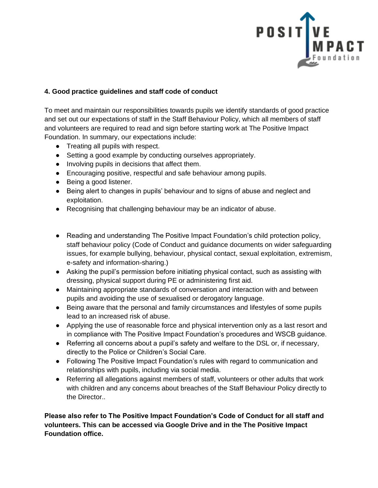

# **4. Good practice guidelines and staff code of conduct**

To meet and maintain our responsibilities towards pupils we identify standards of good practice and set out our expectations of staff in the Staff Behaviour Policy, which all members of staff and volunteers are required to read and sign before starting work at The Positive Impact Foundation. In summary, our expectations include:

- Treating all pupils with respect.
- Setting a good example by conducting ourselves appropriately.
- Involving pupils in decisions that affect them.
- Encouraging positive, respectful and safe behaviour among pupils.
- Being a good listener.
- Being alert to changes in pupils' behaviour and to signs of abuse and neglect and exploitation.
- Recognising that challenging behaviour may be an indicator of abuse.
- Reading and understanding The Positive Impact Foundation's child protection policy, staff behaviour policy (Code of Conduct and guidance documents on wider safeguarding issues, for example bullying, behaviour, physical contact, sexual exploitation, extremism, e-safety and information-sharing.)
- Asking the pupil's permission before initiating physical contact, such as assisting with dressing, physical support during PE or administering first aid.
- Maintaining appropriate standards of conversation and interaction with and between pupils and avoiding the use of sexualised or derogatory language.
- Being aware that the personal and family circumstances and lifestyles of some pupils lead to an increased risk of abuse.
- Applying the use of reasonable force and physical intervention only as a last resort and in compliance with The Positive Impact Foundation's procedures and WSCB guidance.
- Referring all concerns about a pupil's safety and welfare to the DSL or, if necessary, directly to the Police or Children's Social Care.
- Following The Positive Impact Foundation's rules with regard to communication and relationships with pupils, including via social media.
- Referring all allegations against members of staff, volunteers or other adults that work with children and any concerns about breaches of the Staff Behaviour Policy directly to the Director..

**Please also refer to The Positive Impact Foundation's Code of Conduct for all staff and volunteers. This can be accessed via Google Drive and in the The Positive Impact Foundation office.**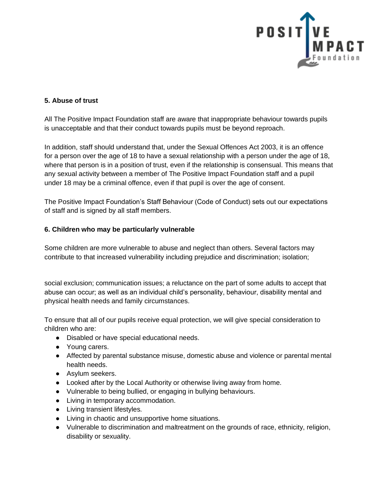

### **5. Abuse of trust**

All The Positive Impact Foundation staff are aware that inappropriate behaviour towards pupils is unacceptable and that their conduct towards pupils must be beyond reproach.

In addition, staff should understand that, under the Sexual Offences Act 2003, it is an offence for a person over the age of 18 to have a sexual relationship with a person under the age of 18, where that person is in a position of trust, even if the relationship is consensual. This means that any sexual activity between a member of The Positive Impact Foundation staff and a pupil under 18 may be a criminal offence, even if that pupil is over the age of consent.

The Positive Impact Foundation's Staff Behaviour (Code of Conduct) sets out our expectations of staff and is signed by all staff members.

### **6. Children who may be particularly vulnerable**

Some children are more vulnerable to abuse and neglect than others. Several factors may contribute to that increased vulnerability including prejudice and discrimination; isolation;

social exclusion; communication issues; a reluctance on the part of some adults to accept that abuse can occur; as well as an individual child's personality, behaviour, disability mental and physical health needs and family circumstances.

To ensure that all of our pupils receive equal protection, we will give special consideration to children who are:

- Disabled or have special educational needs.
- Young carers.
- Affected by parental substance misuse, domestic abuse and violence or parental mental health needs.
- Asylum seekers.
- Looked after by the Local Authority or otherwise living away from home.
- Vulnerable to being bullied, or engaging in bullying behaviours.
- Living in temporary accommodation.
- Living transient lifestyles.
- Living in chaotic and unsupportive home situations.
- Vulnerable to discrimination and maltreatment on the grounds of race, ethnicity, religion, disability or sexuality.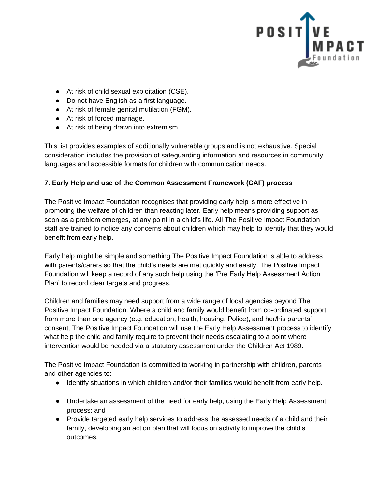

- At risk of child sexual exploitation (CSE).
- Do not have English as a first language.
- At risk of female genital mutilation (FGM).
- At risk of forced marriage.
- At risk of being drawn into extremism.

This list provides examples of additionally vulnerable groups and is not exhaustive. Special consideration includes the provision of safeguarding information and resources in community languages and accessible formats for children with communication needs.

### **7. Early Help and use of the Common Assessment Framework (CAF) process**

The Positive Impact Foundation recognises that providing early help is more effective in promoting the welfare of children than reacting later. Early help means providing support as soon as a problem emerges, at any point in a child's life. All The Positive Impact Foundation staff are trained to notice any concerns about children which may help to identify that they would benefit from early help.

Early help might be simple and something The Positive Impact Foundation is able to address with parents/carers so that the child's needs are met quickly and easily. The Positive Impact Foundation will keep a record of any such help using the 'Pre Early Help Assessment Action Plan' to record clear targets and progress.

Children and families may need support from a wide range of local agencies beyond The Positive Impact Foundation. Where a child and family would benefit from co-ordinated support from more than one agency (e.g. education, health, housing, Police), and her/his parents' consent, The Positive Impact Foundation will use the Early Help Assessment process to identify what help the child and family require to prevent their needs escalating to a point where intervention would be needed via a statutory assessment under the Children Act 1989.

The Positive Impact Foundation is committed to working in partnership with children, parents and other agencies to:

- Identify situations in which children and/or their families would benefit from early help.
- Undertake an assessment of the need for early help, using the Early Help Assessment process; and
- Provide targeted early help services to address the assessed needs of a child and their family, developing an action plan that will focus on activity to improve the child's outcomes.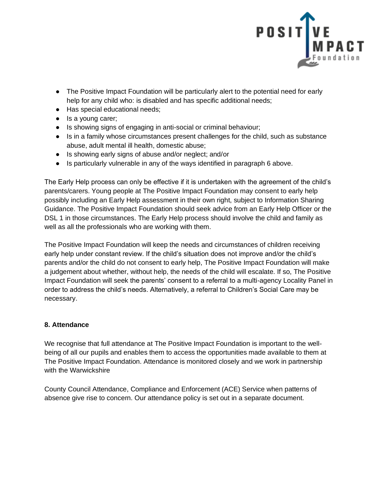

- The Positive Impact Foundation will be particularly alert to the potential need for early help for any child who: is disabled and has specific additional needs;
- Has special educational needs;
- Is a young carer;
- Is showing signs of engaging in anti-social or criminal behaviour;
- Is in a family whose circumstances present challenges for the child, such as substance abuse, adult mental ill health, domestic abuse;
- Is showing early signs of abuse and/or neglect; and/or
- Is particularly vulnerable in any of the ways identified in paragraph 6 above.

The Early Help process can only be effective if it is undertaken with the agreement of the child's parents/carers. Young people at The Positive Impact Foundation may consent to early help possibly including an Early Help assessment in their own right, subject to Information Sharing Guidance. The Positive Impact Foundation should seek advice from an Early Help Officer or the DSL 1 in those circumstances. The Early Help process should involve the child and family as well as all the professionals who are working with them.

The Positive Impact Foundation will keep the needs and circumstances of children receiving early help under constant review. If the child's situation does not improve and/or the child's parents and/or the child do not consent to early help, The Positive Impact Foundation will make a judgement about whether, without help, the needs of the child will escalate. If so, The Positive Impact Foundation will seek the parents' consent to a referral to a multi-agency Locality Panel in order to address the child's needs. Alternatively, a referral to Children's Social Care may be necessary.

# **8. Attendance**

We recognise that full attendance at The Positive Impact Foundation is important to the wellbeing of all our pupils and enables them to access the opportunities made available to them at The Positive Impact Foundation. Attendance is monitored closely and we work in partnership with the Warwickshire

County Council Attendance, Compliance and Enforcement (ACE) Service when patterns of absence give rise to concern. Our attendance policy is set out in a separate document.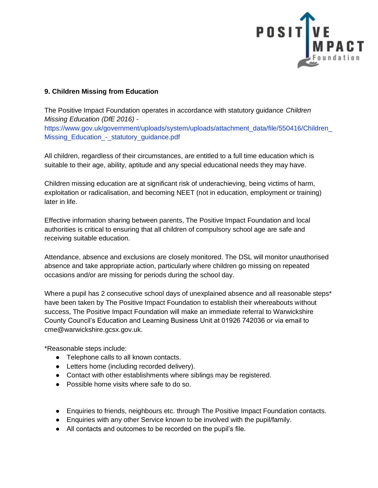

### **9. Children Missing from Education**

The Positive Impact Foundation operates in accordance with statutory guidance *Children Missing Education (DfE 2016) -*

https://www.gov.uk/government/uploads/system/uploads/attachment\_data/file/550416/Children\_ Missing\_Education\_-\_statutory\_guidance.pdf

All children, regardless of their circumstances, are entitled to a full time education which is suitable to their age, ability, aptitude and any special educational needs they may have.

Children missing education are at significant risk of underachieving, being victims of harm, exploitation or radicalisation, and becoming NEET (not in education, employment or training) later in life.

Effective information sharing between parents, The Positive Impact Foundation and local authorities is critical to ensuring that all children of compulsory school age are safe and receiving suitable education.

Attendance, absence and exclusions are closely monitored. The DSL will monitor unauthorised absence and take appropriate action, particularly where children go missing on repeated occasions and/or are missing for periods during the school day.

Where a pupil has 2 consecutive school days of unexplained absence and all reasonable steps\* have been taken by The Positive Impact Foundation to establish their whereabouts without success, The Positive Impact Foundation will make an immediate referral to Warwickshire County Council's Education and Learning Business Unit at 01926 742036 or via email to cme@warwickshire.gcsx.gov.uk.

\*Reasonable steps include:

- Telephone calls to all known contacts.
- Letters home (including recorded delivery).
- Contact with other establishments where siblings may be registered.
- Possible home visits where safe to do so.
- Enquiries to friends, neighbours etc. through The Positive Impact Foundation contacts.
- Enquiries with any other Service known to be involved with the pupil/family.
- All contacts and outcomes to be recorded on the pupil's file.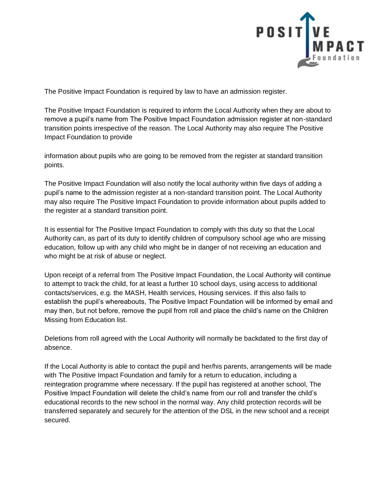

The Positive Impact Foundation is required by law to have an admission register.

The Positive Impact Foundation is required to inform the Local Authority when they are about to remove a pupil's name from The Positive Impact Foundation admission register at non-standard transition points irrespective of the reason. The Local Authority may also require The Positive Impact Foundation to provide

information about pupils who are going to be removed from the register at standard transition points.

The Positive Impact Foundation will also notify the local authority within five days of adding a pupil's name to the admission register at a non-standard transition point. The Local Authority may also require The Positive Impact Foundation to provide information about pupils added to the register at a standard transition point.

It is essential for The Positive Impact Foundation to comply with this duty so that the Local Authority can, as part of its duty to identify children of compulsory school age who are missing education, follow up with any child who might be in danger of not receiving an education and who might be at risk of abuse or neglect.

Upon receipt of a referral from The Positive Impact Foundation, the Local Authority will continue to attempt to track the child, for at least a further 10 school days, using access to additional contacts/services, e.g. the MASH, Health services, Housing services. If this also fails to establish the pupil's whereabouts, The Positive Impact Foundation will be informed by email and may then, but not before, remove the pupil from roll and place the child's name on the Children Missing from Education list.

Deletions from roll agreed with the Local Authority will normally be backdated to the first day of absence.

If the Local Authority is able to contact the pupil and her/his parents, arrangements will be made with The Positive Impact Foundation and family for a return to education, including a reintegration programme where necessary. If the pupil has registered at another school, The Positive Impact Foundation will delete the child's name from our roll and transfer the child's educational records to the new school in the normal way. Any child protection records will be transferred separately and securely for the attention of the DSL in the new school and a receipt secured.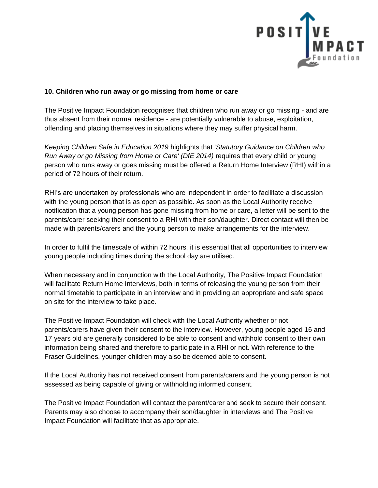

### **10. Children who run away or go missing from home or care**

The Positive Impact Foundation recognises that children who run away or go missing - and are thus absent from their normal residence - are potentially vulnerable to abuse, exploitation, offending and placing themselves in situations where they may suffer physical harm.

*Keeping Children Safe in Education 2019* highlights that '*Statutory Guidance on Children who Run Away or go Missing from Home or Care' (DfE 2014)* requires that every child or young person who runs away or goes missing must be offered a Return Home Interview (RHI) within a period of 72 hours of their return.

RHI's are undertaken by professionals who are independent in order to facilitate a discussion with the young person that is as open as possible. As soon as the Local Authority receive notification that a young person has gone missing from home or care, a letter will be sent to the parents/carer seeking their consent to a RHI with their son/daughter. Direct contact will then be made with parents/carers and the young person to make arrangements for the interview.

In order to fulfil the timescale of within 72 hours, it is essential that all opportunities to interview young people including times during the school day are utilised.

When necessary and in conjunction with the Local Authority, The Positive Impact Foundation will facilitate Return Home Interviews, both in terms of releasing the young person from their normal timetable to participate in an interview and in providing an appropriate and safe space on site for the interview to take place.

The Positive Impact Foundation will check with the Local Authority whether or not parents/carers have given their consent to the interview. However, young people aged 16 and 17 years old are generally considered to be able to consent and withhold consent to their own information being shared and therefore to participate in a RHI or not. With reference to the Fraser Guidelines, younger children may also be deemed able to consent.

If the Local Authority has not received consent from parents/carers and the young person is not assessed as being capable of giving or withholding informed consent.

The Positive Impact Foundation will contact the parent/carer and seek to secure their consent. Parents may also choose to accompany their son/daughter in interviews and The Positive Impact Foundation will facilitate that as appropriate.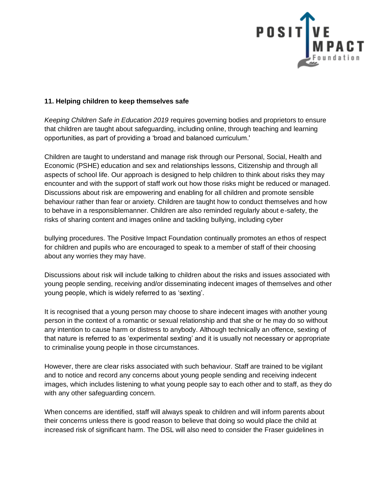

#### **11. Helping children to keep themselves safe**

*Keeping Children Safe in Education 2019* requires governing bodies and proprietors to ensure that children are taught about safeguarding, including online, through teaching and learning opportunities, as part of providing a 'broad and balanced curriculum.'

Children are taught to understand and manage risk through our Personal, Social, Health and Economic (PSHE) education and sex and relationships lessons, Citizenship and through all aspects of school life. Our approach is designed to help children to think about risks they may encounter and with the support of staff work out how those risks might be reduced or managed. Discussions about risk are empowering and enabling for all children and promote sensible behaviour rather than fear or anxiety. Children are taught how to conduct themselves and how to behave in a responsiblemanner. Children are also reminded regularly about e-safety, the risks of sharing content and images online and tackling bullying, including cyber

bullying procedures. The Positive Impact Foundation continually promotes an ethos of respect for children and pupils who are encouraged to speak to a member of staff of their choosing about any worries they may have.

Discussions about risk will include talking to children about the risks and issues associated with young people sending, receiving and/or disseminating indecent images of themselves and other young people, which is widely referred to as 'sexting'.

It is recognised that a young person may choose to share indecent images with another young person in the context of a romantic or sexual relationship and that she or he may do so without any intention to cause harm or distress to anybody. Although technically an offence, sexting of that nature is referred to as 'experimental sexting' and it is usually not necessary or appropriate to criminalise young people in those circumstances.

However, there are clear risks associated with such behaviour. Staff are trained to be vigilant and to notice and record any concerns about young people sending and receiving indecent images, which includes listening to what young people say to each other and to staff, as they do with any other safeguarding concern.

When concerns are identified, staff will always speak to children and will inform parents about their concerns unless there is good reason to believe that doing so would place the child at increased risk of significant harm. The DSL will also need to consider the Fraser guidelines in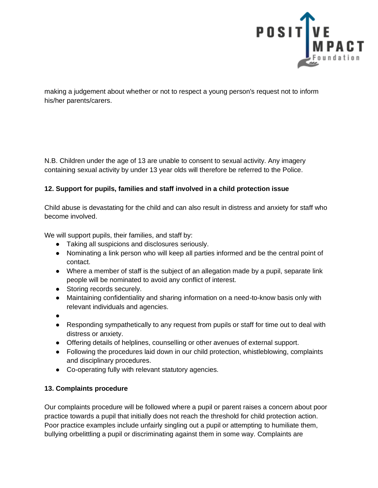

making a judgement about whether or not to respect a young person's request not to inform his/her parents/carers.

N.B. Children under the age of 13 are unable to consent to sexual activity. Any imagery containing sexual activity by under 13 year olds will therefore be referred to the Police.

### **12. Support for pupils, families and staff involved in a child protection issue**

Child abuse is devastating for the child and can also result in distress and anxiety for staff who become involved.

We will support pupils, their families, and staff by:

- Taking all suspicions and disclosures seriously.
- Nominating a link person who will keep all parties informed and be the central point of contact.
- Where a member of staff is the subject of an allegation made by a pupil, separate link people will be nominated to avoid any conflict of interest.
- Storing records securely.
- Maintaining confidentiality and sharing information on a need-to-know basis only with relevant individuals and agencies.
- ●
- Responding sympathetically to any request from pupils or staff for time out to deal with distress or anxiety.
- Offering details of helplines, counselling or other avenues of external support.
- Following the procedures laid down in our child protection, whistleblowing, complaints and disciplinary procedures.
- Co-operating fully with relevant statutory agencies.

# **13. Complaints procedure**

Our complaints procedure will be followed where a pupil or parent raises a concern about poor practice towards a pupil that initially does not reach the threshold for child protection action. Poor practice examples include unfairly singling out a pupil or attempting to humiliate them, bullying orbelittling a pupil or discriminating against them in some way. Complaints are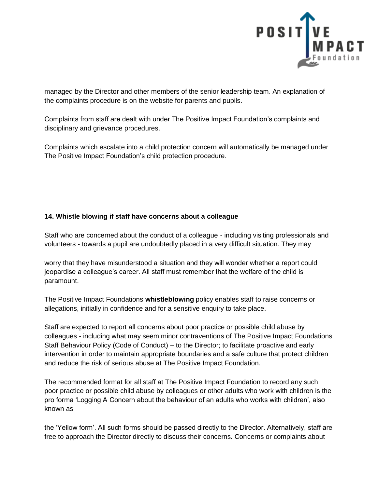

managed by the Director and other members of the senior leadership team. An explanation of the complaints procedure is on the website for parents and pupils.

Complaints from staff are dealt with under The Positive Impact Foundation's complaints and disciplinary and grievance procedures.

Complaints which escalate into a child protection concern will automatically be managed under The Positive Impact Foundation's child protection procedure.

# **14. Whistle blowing if staff have concerns about a colleague**

Staff who are concerned about the conduct of a colleague - including visiting professionals and volunteers - towards a pupil are undoubtedly placed in a very difficult situation. They may

worry that they have misunderstood a situation and they will wonder whether a report could jeopardise a colleague's career. All staff must remember that the welfare of the child is paramount.

The Positive Impact Foundations **whistleblowing** policy enables staff to raise concerns or allegations, initially in confidence and for a sensitive enquiry to take place.

Staff are expected to report all concerns about poor practice or possible child abuse by colleagues - including what may seem minor contraventions of The Positive Impact Foundations Staff Behaviour Policy (Code of Conduct) – to the Director; to facilitate proactive and early intervention in order to maintain appropriate boundaries and a safe culture that protect children and reduce the risk of serious abuse at The Positive Impact Foundation.

The recommended format for all staff at The Positive Impact Foundation to record any such poor practice or possible child abuse by colleagues or other adults who work with children is the pro forma 'Logging A Concern about the behaviour of an adults who works with children', also known as

the 'Yellow form'. All such forms should be passed directly to the Director. Alternatively, staff are free to approach the Director directly to discuss their concerns. Concerns or complaints about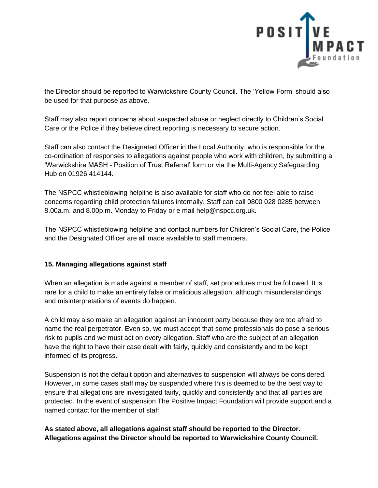

the Director should be reported to Warwickshire County Council. The 'Yellow Form' should also be used for that purpose as above.

Staff may also report concerns about suspected abuse or neglect directly to Children's Social Care or the Police if they believe direct reporting is necessary to secure action.

Staff can also contact the Designated Officer in the Local Authority, who is responsible for the co-ordination of responses to allegations against people who work with children, by submitting a 'Warwickshire MASH - Position of Trust Referral' form or via the Multi-Agency Safeguarding Hub on 01926 414144.

The NSPCC whistleblowing helpline is also available for staff who do not feel able to raise concerns regarding child protection failures internally. Staff can call 0800 028 0285 between 8.00a.m. and 8.00p.m. Monday to Friday or e mail help@nspcc.org.uk.

The NSPCC whistleblowing helpline and contact numbers for Children's Social Care, the Police and the Designated Officer are all made available to staff members.

# **15. Managing allegations against staff**

When an allegation is made against a member of staff, set procedures must be followed. It is rare for a child to make an entirely false or malicious allegation, although misunderstandings and misinterpretations of events do happen.

A child may also make an allegation against an innocent party because they are too afraid to name the real perpetrator. Even so, we must accept that some professionals do pose a serious risk to pupils and we must act on every allegation. Staff who are the subject of an allegation have the right to have their case dealt with fairly, quickly and consistently and to be kept informed of its progress.

Suspension is not the default option and alternatives to suspension will always be considered. However, in some cases staff may be suspended where this is deemed to be the best way to ensure that allegations are investigated fairly, quickly and consistently and that all parties are protected. In the event of suspension The Positive Impact Foundation will provide support and a named contact for the member of staff.

**As stated above, all allegations against staff should be reported to the Director. Allegations against the Director should be reported to Warwickshire County Council.**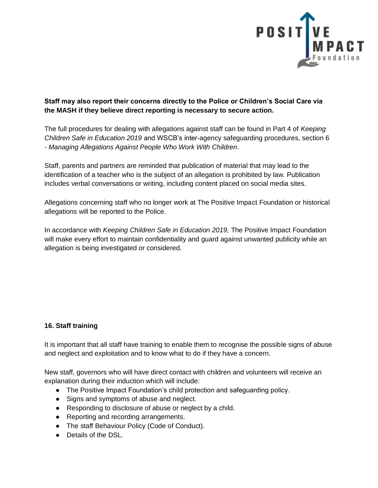

# **Staff may also report their concerns directly to the Police or Children's Social Care via the MASH if they believe direct reporting is necessary to secure action.**

The full procedures for dealing with allegations against staff can be found in Part 4 of *Keeping Children Safe in Education 2019* and WSCB's inter-agency safeguarding procedures, section 6 - *Managing Allegations Against People Who Work With Children*.

Staff, parents and partners are reminded that publication of material that may lead to the identification of a teacher who is the subject of an allegation is prohibited by law. Publication includes verbal conversations or writing, including content placed on social media sites.

Allegations concerning staff who no longer work at The Positive Impact Foundation or historical allegations will be reported to the Police.

In accordance with *Keeping Children Safe in Education 2019*, The Positive Impact Foundation will make every effort to maintain confidentiality and guard against unwanted publicity while an allegation is being investigated or considered.

# **16. Staff training**

It is important that all staff have training to enable them to recognise the possible signs of abuse and neglect and exploitation and to know what to do if they have a concern.

New staff, governors who will have direct contact with children and volunteers will receive an explanation during their induction which will include:

- The Positive Impact Foundation's child protection and safequarding policy.
- Signs and symptoms of abuse and neglect.
- Responding to disclosure of abuse or neglect by a child.
- Reporting and recording arrangements.
- The staff Behaviour Policy (Code of Conduct).
- Details of the DSL.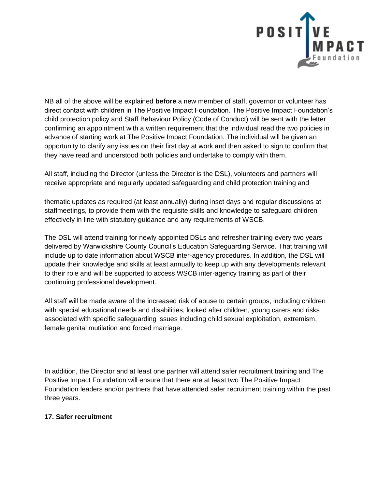

NB all of the above will be explained **before** a new member of staff, governor or volunteer has direct contact with children in The Positive Impact Foundation. The Positive Impact Foundation's child protection policy and Staff Behaviour Policy (Code of Conduct) will be sent with the letter confirming an appointment with a written requirement that the individual read the two policies in advance of starting work at The Positive Impact Foundation. The individual will be given an opportunity to clarify any issues on their first day at work and then asked to sign to confirm that they have read and understood both policies and undertake to comply with them.

All staff, including the Director (unless the Director is the DSL), volunteers and partners will receive appropriate and regularly updated safeguarding and child protection training and

thematic updates as required (at least annually) during inset days and regular discussions at staffmeetings, to provide them with the requisite skills and knowledge to safeguard children effectively in line with statutory guidance and any requirements of WSCB.

The DSL will attend training for newly appointed DSLs and refresher training every two years delivered by Warwickshire County Council's Education Safeguarding Service. That training will include up to date information about WSCB inter-agency procedures. In addition, the DSL will update their knowledge and skills at least annually to keep up with any developments relevant to their role and will be supported to access WSCB inter-agency training as part of their continuing professional development.

All staff will be made aware of the increased risk of abuse to certain groups, including children with special educational needs and disabilities, looked after children, young carers and risks associated with specific safeguarding issues including child sexual exploitation, extremism, female genital mutilation and forced marriage.

In addition, the Director and at least one partner will attend safer recruitment training and The Positive Impact Foundation will ensure that there are at least two The Positive Impact Foundation leaders and/or partners that have attended safer recruitment training within the past three years.

### **17. Safer recruitment**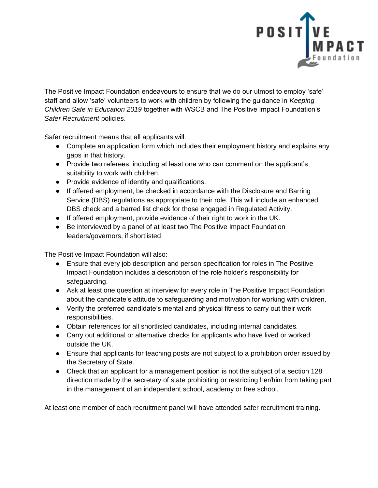

The Positive Impact Foundation endeavours to ensure that we do our utmost to employ 'safe' staff and allow 'safe' volunteers to work with children by following the guidance in *Keeping Children Safe in Education 2019* together with WSCB and The Positive Impact Foundation's *Safer Recruitment* policies.

Safer recruitment means that all applicants will:

- Complete an application form which includes their employment history and explains any gaps in that history.
- Provide two referees, including at least one who can comment on the applicant's suitability to work with children.
- Provide evidence of identity and qualifications.
- If offered employment, be checked in accordance with the Disclosure and Barring Service (DBS) regulations as appropriate to their role. This will include an enhanced DBS check and a barred list check for those engaged in Regulated Activity.
- If offered employment, provide evidence of their right to work in the UK.
- Be interviewed by a panel of at least two The Positive Impact Foundation leaders/governors, if shortlisted.

The Positive Impact Foundation will also:

- Ensure that every job description and person specification for roles in The Positive Impact Foundation includes a description of the role holder's responsibility for safeguarding.
- Ask at least one question at interview for every role in The Positive Impact Foundation about the candidate's attitude to safeguarding and motivation for working with children.
- Verify the preferred candidate's mental and physical fitness to carry out their work responsibilities.
- Obtain references for all shortlisted candidates, including internal candidates.
- Carry out additional or alternative checks for applicants who have lived or worked outside the UK.
- Ensure that applicants for teaching posts are not subject to a prohibition order issued by the Secretary of State.
- Check that an applicant for a management position is not the subject of a section 128 direction made by the secretary of state prohibiting or restricting her/him from taking part in the management of an independent school, academy or free school.

At least one member of each recruitment panel will have attended safer recruitment training.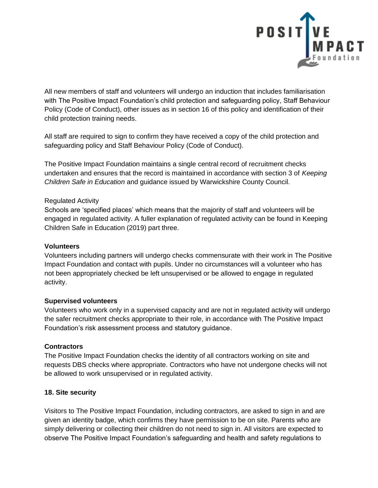

All new members of staff and volunteers will undergo an induction that includes familiarisation with The Positive Impact Foundation's child protection and safeguarding policy, Staff Behaviour Policy (Code of Conduct), other issues as in section 16 of this policy and identification of their child protection training needs.

All staff are required to sign to confirm they have received a copy of the child protection and safeguarding policy and Staff Behaviour Policy (Code of Conduct).

The Positive Impact Foundation maintains a single central record of recruitment checks undertaken and ensures that the record is maintained in accordance with section 3 of *Keeping Children Safe in Education* and guidance issued by Warwickshire County Council.

#### Regulated Activity

Schools are 'specified places' which means that the majority of staff and volunteers will be engaged in regulated activity. A fuller explanation of regulated activity can be found in Keeping Children Safe in Education (2019) part three.

#### **Volunteers**

Volunteers including partners will undergo checks commensurate with their work in The Positive Impact Foundation and contact with pupils. Under no circumstances will a volunteer who has not been appropriately checked be left unsupervised or be allowed to engage in regulated activity.

### **Supervised volunteers**

Volunteers who work only in a supervised capacity and are not in regulated activity will undergo the safer recruitment checks appropriate to their role, in accordance with The Positive Impact Foundation's risk assessment process and statutory guidance.

### **Contractors**

The Positive Impact Foundation checks the identity of all contractors working on site and requests DBS checks where appropriate. Contractors who have not undergone checks will not be allowed to work unsupervised or in regulated activity.

### **18. Site security**

Visitors to The Positive Impact Foundation, including contractors, are asked to sign in and are given an identity badge, which confirms they have permission to be on site. Parents who are simply delivering or collecting their children do not need to sign in. All visitors are expected to observe The Positive Impact Foundation's safeguarding and health and safety regulations to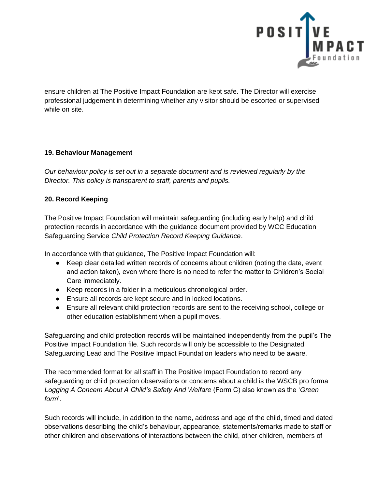

ensure children at The Positive Impact Foundation are kept safe. The Director will exercise professional judgement in determining whether any visitor should be escorted or supervised while on site.

# **19. Behaviour Management**

*Our behaviour policy is set out in a separate document and is reviewed regularly by the Director. This policy is transparent to staff, parents and pupils.*

### **20. Record Keeping**

The Positive Impact Foundation will maintain safeguarding (including early help) and child protection records in accordance with the guidance document provided by WCC Education Safeguarding Service *Child Protection Record Keeping Guidance*.

In accordance with that guidance, The Positive Impact Foundation will:

- Keep clear detailed written records of concerns about children (noting the date, event and action taken), even where there is no need to refer the matter to Children's Social Care immediately.
- Keep records in a folder in a meticulous chronological order.
- Ensure all records are kept secure and in locked locations.
- Ensure all relevant child protection records are sent to the receiving school, college or other education establishment when a pupil moves.

Safeguarding and child protection records will be maintained independently from the pupil's The Positive Impact Foundation file. Such records will only be accessible to the Designated Safeguarding Lead and The Positive Impact Foundation leaders who need to be aware.

The recommended format for all staff in The Positive Impact Foundation to record any safeguarding or child protection observations or concerns about a child is the WSCB pro forma *Logging A Concern About A Child's Safety And Welfare* (Form C) also known as the '*Green form*'.

Such records will include, in addition to the name, address and age of the child, timed and dated observations describing the child's behaviour, appearance, statements/remarks made to staff or other children and observations of interactions between the child, other children, members of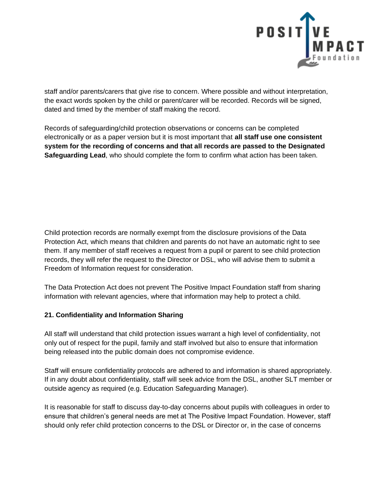

staff and/or parents/carers that give rise to concern. Where possible and without interpretation, the exact words spoken by the child or parent/carer will be recorded. Records will be signed, dated and timed by the member of staff making the record.

Records of safeguarding/child protection observations or concerns can be completed electronically or as a paper version but it is most important that **all staff use one consistent system for the recording of concerns and that all records are passed to the Designated Safeguarding Lead**, who should complete the form to confirm what action has been taken.

Child protection records are normally exempt from the disclosure provisions of the Data Protection Act, which means that children and parents do not have an automatic right to see them. If any member of staff receives a request from a pupil or parent to see child protection records, they will refer the request to the Director or DSL, who will advise them to submit a Freedom of Information request for consideration.

The Data Protection Act does not prevent The Positive Impact Foundation staff from sharing information with relevant agencies, where that information may help to protect a child.

# **21. Confidentiality and Information Sharing**

All staff will understand that child protection issues warrant a high level of confidentiality, not only out of respect for the pupil, family and staff involved but also to ensure that information being released into the public domain does not compromise evidence.

Staff will ensure confidentiality protocols are adhered to and information is shared appropriately. If in any doubt about confidentiality, staff will seek advice from the DSL, another SLT member or outside agency as required (e.g. Education Safeguarding Manager).

It is reasonable for staff to discuss day-to-day concerns about pupils with colleagues in order to ensure that children's general needs are met at The Positive Impact Foundation. However, staff should only refer child protection concerns to the DSL or Director or, in the case of concerns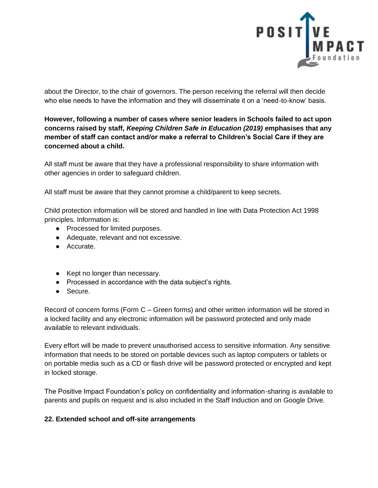

about the Director, to the chair of governors. The person receiving the referral will then decide who else needs to have the information and they will disseminate it on a 'need-to-know' basis.

**However, following a number of cases where senior leaders in Schools failed to act upon concerns raised by staff,** *Keeping Children Safe in Education (2019)* **emphasises that any member of staff can contact and/or make a referral to Children's Social Care if they are concerned about a child.**

All staff must be aware that they have a professional responsibility to share information with other agencies in order to safeguard children.

All staff must be aware that they cannot promise a child/parent to keep secrets.

Child protection information will be stored and handled in line with Data Protection Act 1998 principles. Information is:

- Processed for limited purposes.
- Adequate, relevant and not excessive.
- Accurate.
- Kept no longer than necessary.
- Processed in accordance with the data subject's rights.
- Secure.

Record of concern forms (Form C – Green forms) and other written information will be stored in a locked facility and any electronic information will be password protected and only made available to relevant individuals.

Every effort will be made to prevent unauthorised access to sensitive information. Any sensitive information that needs to be stored on portable devices such as laptop computers or tablets or on portable media such as a CD or flash drive will be password protected or encrypted and kept in locked storage.

The Positive Impact Foundation's policy on confidentiality and information-sharing is available to parents and pupils on request and is also included in the Staff Induction and on Google Drive.

#### **22. Extended school and off-site arrangements**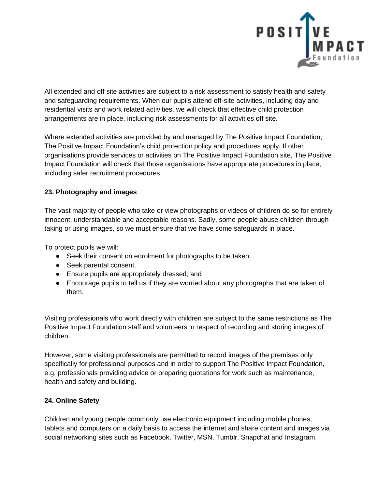

All extended and off site activities are subject to a risk assessment to satisfy health and safety and safeguarding requirements. When our pupils attend off-site activities, including day and residential visits and work related activities, we will check that effective child protection arrangements are in place, including risk assessments for all activities off site.

Where extended activities are provided by and managed by The Positive Impact Foundation, The Positive Impact Foundation's child protection policy and procedures apply. If other organisations provide services or activities on The Positive Impact Foundation site, The Positive Impact Foundation will check that those organisations have appropriate procedures in place, including safer recruitment procedures.

# **23. Photography and images**

The vast majority of people who take or view photographs or videos of children do so for entirely innocent, understandable and acceptable reasons. Sadly, some people abuse children through taking or using images, so we must ensure that we have some safeguards in place.

To protect pupils we will:

- Seek their consent on enrolment for photographs to be taken.
- Seek parental consent.
- Ensure pupils are appropriately dressed; and
- Encourage pupils to tell us if they are worried about any photographs that are taken of them.

Visiting professionals who work directly with children are subject to the same restrictions as The Positive Impact Foundation staff and volunteers in respect of recording and storing images of children.

However, some visiting professionals are permitted to record images of the premises only specifically for professional purposes and in order to support The Positive Impact Foundation, e.g. professionals providing advice or preparing quotations for work such as maintenance, health and safety and building.

# **24. Online Safety**

Children and young people commonly use electronic equipment including mobile phones, tablets and computers on a daily basis to access the internet and share content and images via social networking sites such as Facebook, Twitter, MSN, Tumblr, Snapchat and Instagram.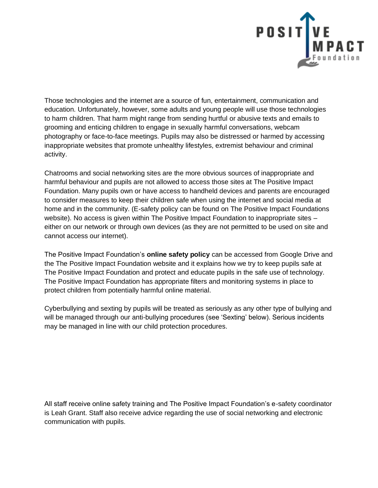

Those technologies and the internet are a source of fun, entertainment, communication and education. Unfortunately, however, some adults and young people will use those technologies to harm children. That harm might range from sending hurtful or abusive texts and emails to grooming and enticing children to engage in sexually harmful conversations, webcam photography or face-to-face meetings. Pupils may also be distressed or harmed by accessing inappropriate websites that promote unhealthy lifestyles, extremist behaviour and criminal activity.

Chatrooms and social networking sites are the more obvious sources of inappropriate and harmful behaviour and pupils are not allowed to access those sites at The Positive Impact Foundation. Many pupils own or have access to handheld devices and parents are encouraged to consider measures to keep their children safe when using the internet and social media at home and in the community. (E-safety policy can be found on The Positive Impact Foundations website). No access is given within The Positive Impact Foundation to inappropriate sites – either on our network or through own devices (as they are not permitted to be used on site and cannot access our internet).

The Positive Impact Foundation's **online safety policy** can be accessed from Google Drive and the The Positive Impact Foundation website and it explains how we try to keep pupils safe at The Positive Impact Foundation and protect and educate pupils in the safe use of technology. The Positive Impact Foundation has appropriate filters and monitoring systems in place to protect children from potentially harmful online material.

Cyberbullying and sexting by pupils will be treated as seriously as any other type of bullying and will be managed through our anti-bullying procedures (see 'Sexting' below). Serious incidents may be managed in line with our child protection procedures.

All staff receive online safety training and The Positive Impact Foundation's e-safety coordinator is Leah Grant. Staff also receive advice regarding the use of social networking and electronic communication with pupils.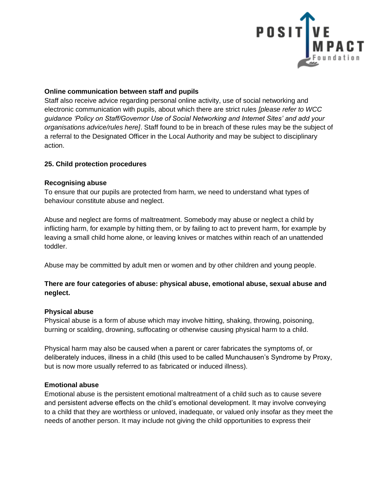

#### **Online communication between staff and pupils**

Staff also receive advice regarding personal online activity, use of social networking and electronic communication with pupils, about which there are strict rules *[please refer to WCC guidance 'Policy on Staff/Governor Use of Social Networking and Internet Sites' and add your organisations advice/rules here]*. Staff found to be in breach of these rules may be the subject of a referral to the Designated Officer in the Local Authority and may be subject to disciplinary action.

#### **25. Child protection procedures**

#### **Recognising abuse**

To ensure that our pupils are protected from harm, we need to understand what types of behaviour constitute abuse and neglect.

Abuse and neglect are forms of maltreatment. Somebody may abuse or neglect a child by inflicting harm, for example by hitting them, or by failing to act to prevent harm, for example by leaving a small child home alone, or leaving knives or matches within reach of an unattended toddler.

Abuse may be committed by adult men or women and by other children and young people.

### **There are four categories of abuse: physical abuse, emotional abuse, sexual abuse and neglect.**

#### **Physical abuse**

Physical abuse is a form of abuse which may involve hitting, shaking, throwing, poisoning, burning or scalding, drowning, suffocating or otherwise causing physical harm to a child.

Physical harm may also be caused when a parent or carer fabricates the symptoms of, or deliberately induces, illness in a child (this used to be called Munchausen's Syndrome by Proxy, but is now more usually referred to as fabricated or induced illness).

### **Emotional abuse**

Emotional abuse is the persistent emotional maltreatment of a child such as to cause severe and persistent adverse effects on the child's emotional development. It may involve conveying to a child that they are worthless or unloved, inadequate, or valued only insofar as they meet the needs of another person. It may include not giving the child opportunities to express their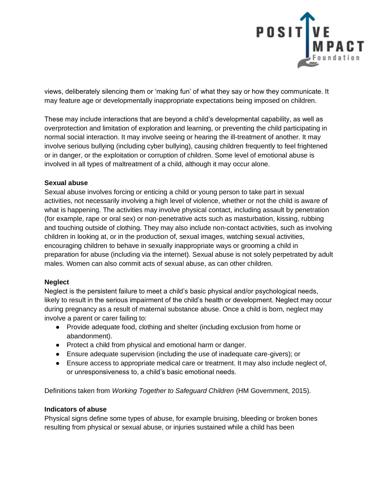

views, deliberately silencing them or 'making fun' of what they say or how they communicate. It may feature age or developmentally inappropriate expectations being imposed on children.

These may include interactions that are beyond a child's developmental capability, as well as overprotection and limitation of exploration and learning, or preventing the child participating in normal social interaction. It may involve seeing or hearing the ill-treatment of another. It may involve serious bullying (including cyber bullying), causing children frequently to feel frightened or in danger, or the exploitation or corruption of children. Some level of emotional abuse is involved in all types of maltreatment of a child, although it may occur alone.

### **Sexual abuse**

Sexual abuse involves forcing or enticing a child or young person to take part in sexual activities, not necessarily involving a high level of violence, whether or not the child is aware of what is happening. The activities may involve physical contact, including assault by penetration (for example, rape or oral sex) or non-penetrative acts such as masturbation, kissing, rubbing and touching outside of clothing. They may also include non-contact activities, such as involving children in looking at, or in the production of, sexual images, watching sexual activities, encouraging children to behave in sexually inappropriate ways or grooming a child in preparation for abuse (including via the internet). Sexual abuse is not solely perpetrated by adult males. Women can also commit acts of sexual abuse, as can other children.

#### **Neglect**

Neglect is the persistent failure to meet a child's basic physical and/or psychological needs, likely to result in the serious impairment of the child's health or development. Neglect may occur during pregnancy as a result of maternal substance abuse. Once a child is born, neglect may involve a parent or carer failing to:

- Provide adequate food, clothing and shelter (including exclusion from home or abandonment).
- Protect a child from physical and emotional harm or danger.
- Ensure adequate supervision (including the use of inadequate care-givers); or
- Ensure access to appropriate medical care or treatment. It may also include neglect of, or unresponsiveness to, a child's basic emotional needs.

Definitions taken from *Working Together to Safeguard Children* (HM Government, 2015).

#### **Indicators of abuse**

Physical signs define some types of abuse, for example bruising, bleeding or broken bones resulting from physical or sexual abuse, or injuries sustained while a child has been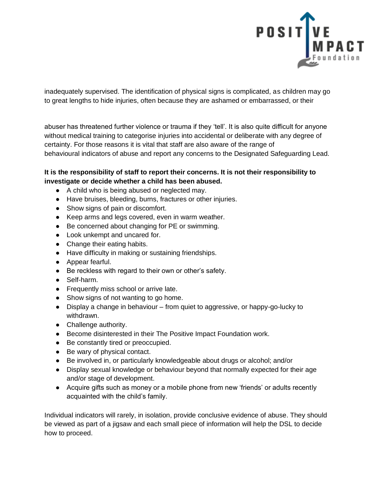

inadequately supervised. The identification of physical signs is complicated, as children may go to great lengths to hide injuries, often because they are ashamed or embarrassed, or their

abuser has threatened further violence or trauma if they 'tell'. It is also quite difficult for anyone without medical training to categorise injuries into accidental or deliberate with any degree of certainty. For those reasons it is vital that staff are also aware of the range of behavioural indicators of abuse and report any concerns to the Designated Safeguarding Lead.

### **It is the responsibility of staff to report their concerns. It is not their responsibility to investigate or decide whether a child has been abused.**

- A child who is being abused or neglected may.
- Have bruises, bleeding, burns, fractures or other injuries.
- Show signs of pain or discomfort.
- Keep arms and legs covered, even in warm weather.
- Be concerned about changing for PE or swimming.
- Look unkempt and uncared for.
- Change their eating habits.
- Have difficulty in making or sustaining friendships.
- Appear fearful.
- Be reckless with regard to their own or other's safety.
- Self-harm.
- Frequently miss school or arrive late.
- Show signs of not wanting to go home.
- Display a change in behaviour from quiet to aggressive, or happy-go-lucky to withdrawn.
- Challenge authority.
- Become disinterested in their The Positive Impact Foundation work.
- Be constantly tired or preoccupied.
- Be wary of physical contact.
- Be involved in, or particularly knowledgeable about drugs or alcohol; and/or
- Display sexual knowledge or behaviour beyond that normally expected for their age and/or stage of development.
- Acquire gifts such as money or a mobile phone from new 'friends' or adults recently acquainted with the child's family.

Individual indicators will rarely, in isolation, provide conclusive evidence of abuse. They should be viewed as part of a jigsaw and each small piece of information will help the DSL to decide how to proceed.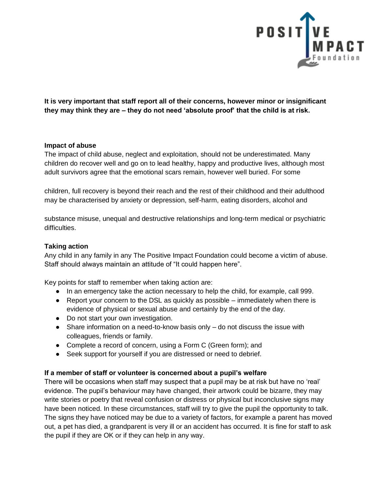

**It is very important that staff report all of their concerns, however minor or insignificant they may think they are – they do not need 'absolute proof' that the child is at risk.**

#### **Impact of abuse**

The impact of child abuse, neglect and exploitation, should not be underestimated. Many children do recover well and go on to lead healthy, happy and productive lives, although most adult survivors agree that the emotional scars remain, however well buried. For some

children, full recovery is beyond their reach and the rest of their childhood and their adulthood may be characterised by anxiety or depression, self-harm, eating disorders, alcohol and

substance misuse, unequal and destructive relationships and long-term medical or psychiatric difficulties.

### **Taking action**

Any child in any family in any The Positive Impact Foundation could become a victim of abuse. Staff should always maintain an attitude of "It could happen here".

Key points for staff to remember when taking action are:

- In an emergency take the action necessary to help the child, for example, call 999.
- $\bullet$  Report your concern to the DSL as quickly as possible immediately when there is evidence of physical or sexual abuse and certainly by the end of the day.
- Do not start your own investigation.
- $\bullet$  Share information on a need-to-know basis only  $-$  do not discuss the issue with colleagues, friends or family.
- Complete a record of concern, using a Form C (Green form); and
- Seek support for yourself if you are distressed or need to debrief.

### **If a member of staff or volunteer is concerned about a pupil's welfare**

There will be occasions when staff may suspect that a pupil may be at risk but have no 'real' evidence. The pupil's behaviour may have changed, their artwork could be bizarre, they may write stories or poetry that reveal confusion or distress or physical but inconclusive signs may have been noticed. In these circumstances, staff will try to give the pupil the opportunity to talk. The signs they have noticed may be due to a variety of factors, for example a parent has moved out, a pet has died, a grandparent is very ill or an accident has occurred. It is fine for staff to ask the pupil if they are OK or if they can help in any way.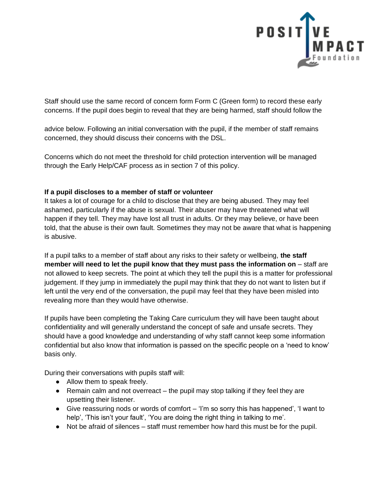

Staff should use the same record of concern form Form C (Green form) to record these early concerns. If the pupil does begin to reveal that they are being harmed, staff should follow the

advice below. Following an initial conversation with the pupil, if the member of staff remains concerned, they should discuss their concerns with the DSL.

Concerns which do not meet the threshold for child protection intervention will be managed through the Early Help/CAF process as in section 7 of this policy.

### **If a pupil discloses to a member of staff or volunteer**

It takes a lot of courage for a child to disclose that they are being abused. They may feel ashamed, particularly if the abuse is sexual. Their abuser may have threatened what will happen if they tell. They may have lost all trust in adults. Or they may believe, or have been told, that the abuse is their own fault. Sometimes they may not be aware that what is happening is abusive.

If a pupil talks to a member of staff about any risks to their safety or wellbeing, **the staff member will need to let the pupil know that they must pass the information on** – staff are not allowed to keep secrets. The point at which they tell the pupil this is a matter for professional judgement. If they jump in immediately the pupil may think that they do not want to listen but if left until the very end of the conversation, the pupil may feel that they have been misled into revealing more than they would have otherwise.

If pupils have been completing the Taking Care curriculum they will have been taught about confidentiality and will generally understand the concept of safe and unsafe secrets. They should have a good knowledge and understanding of why staff cannot keep some information confidential but also know that information is passed on the specific people on a 'need to know' basis only.

During their conversations with pupils staff will:

- Allow them to speak freely.
- $\bullet$  Remain calm and not overreact the pupil may stop talking if they feel they are upsetting their listener.
- Give reassuring nods or words of comfort 'i'm so sorry this has happened', 'I want to help', 'This isn't your fault', 'You are doing the right thing in talking to me'.
- Not be afraid of silences staff must remember how hard this must be for the pupil.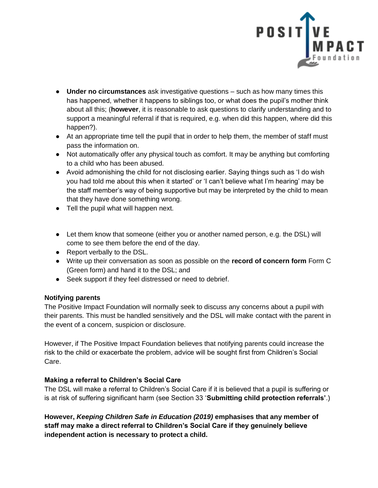

- **Under no circumstances** ask investigative questions such as how many times this has happened, whether it happens to siblings too, or what does the pupil's mother think about all this; (**however**, it is reasonable to ask questions to clarify understanding and to support a meaningful referral if that is required, e.g. when did this happen, where did this happen?).
- At an appropriate time tell the pupil that in order to help them, the member of staff must pass the information on.
- Not automatically offer any physical touch as comfort. It may be anything but comforting to a child who has been abused.
- Avoid admonishing the child for not disclosing earlier. Saying things such as 'I do wish you had told me about this when it started' or 'I can't believe what I'm hearing' may be the staff member's way of being supportive but may be interpreted by the child to mean that they have done something wrong.
- Tell the pupil what will happen next.
- Let them know that someone (either you or another named person, e.g. the DSL) will come to see them before the end of the day.
- Report verbally to the DSL.
- Write up their conversation as soon as possible on the **record of concern form** Form C (Green form) and hand it to the DSL; and
- Seek support if they feel distressed or need to debrief.

### **Notifying parents**

The Positive Impact Foundation will normally seek to discuss any concerns about a pupil with their parents. This must be handled sensitively and the DSL will make contact with the parent in the event of a concern, suspicion or disclosure.

However, if The Positive Impact Foundation believes that notifying parents could increase the risk to the child or exacerbate the problem, advice will be sought first from Children's Social Care.

### **Making a referral to Children's Social Care**

The DSL will make a referral to Children's Social Care if it is believed that a pupil is suffering or is at risk of suffering significant harm (see Section 33 '**Submitting child protection referrals'**.)

**However,** *Keeping Children Safe in Education (2019)* **emphasises that any member of staff may make a direct referral to Children's Social Care if they genuinely believe independent action is necessary to protect a child.**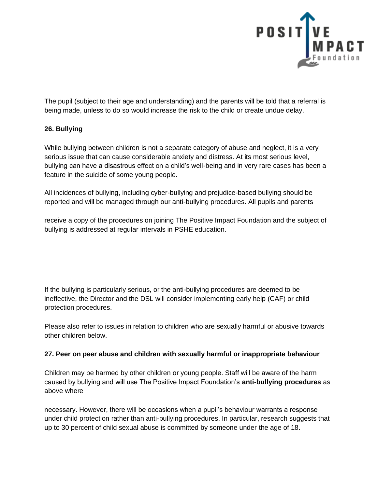

The pupil (subject to their age and understanding) and the parents will be told that a referral is being made, unless to do so would increase the risk to the child or create undue delay.

# **26. Bullying**

While bullying between children is not a separate category of abuse and neglect, it is a very serious issue that can cause considerable anxiety and distress. At its most serious level, bullying can have a disastrous effect on a child's well-being and in very rare cases has been a feature in the suicide of some young people.

All incidences of bullying, including cyber-bullying and prejudice-based bullying should be reported and will be managed through our anti-bullying procedures. All pupils and parents

receive a copy of the procedures on joining The Positive Impact Foundation and the subject of bullying is addressed at regular intervals in PSHE education.

If the bullying is particularly serious, or the anti-bullying procedures are deemed to be ineffective, the Director and the DSL will consider implementing early help (CAF) or child protection procedures.

Please also refer to issues in relation to children who are sexually harmful or abusive towards other children below.

### **27. Peer on peer abuse and children with sexually harmful or inappropriate behaviour**

Children may be harmed by other children or young people. Staff will be aware of the harm caused by bullying and will use The Positive Impact Foundation's **anti-bullying procedures** as above where

necessary. However, there will be occasions when a pupil's behaviour warrants a response under child protection rather than anti-bullying procedures. In particular, research suggests that up to 30 percent of child sexual abuse is committed by someone under the age of 18.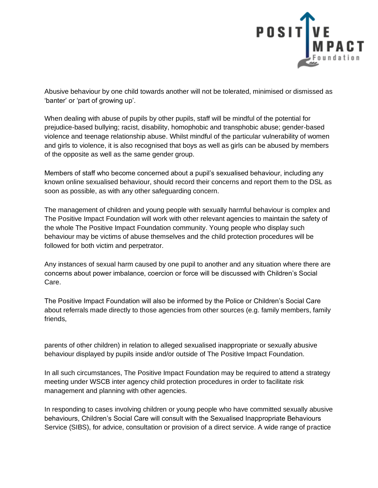

Abusive behaviour by one child towards another will not be tolerated, minimised or dismissed as 'banter' or 'part of growing up'.

When dealing with abuse of pupils by other pupils, staff will be mindful of the potential for prejudice-based bullying; racist, disability, homophobic and transphobic abuse; gender-based violence and teenage relationship abuse. Whilst mindful of the particular vulnerability of women and girls to violence, it is also recognised that boys as well as girls can be abused by members of the opposite as well as the same gender group.

Members of staff who become concerned about a pupil's sexualised behaviour, including any known online sexualised behaviour, should record their concerns and report them to the DSL as soon as possible, as with any other safeguarding concern.

The management of children and young people with sexually harmful behaviour is complex and The Positive Impact Foundation will work with other relevant agencies to maintain the safety of the whole The Positive Impact Foundation community. Young people who display such behaviour may be victims of abuse themselves and the child protection procedures will be followed for both victim and perpetrator.

Any instances of sexual harm caused by one pupil to another and any situation where there are concerns about power imbalance, coercion or force will be discussed with Children's Social Care.

The Positive Impact Foundation will also be informed by the Police or Children's Social Care about referrals made directly to those agencies from other sources (e.g. family members, family friends,

parents of other children) in relation to alleged sexualised inappropriate or sexually abusive behaviour displayed by pupils inside and/or outside of The Positive Impact Foundation.

In all such circumstances, The Positive Impact Foundation may be required to attend a strategy meeting under WSCB inter agency child protection procedures in order to facilitate risk management and planning with other agencies*.* 

In responding to cases involving children or young people who have committed sexually abusive behaviours, Children's Social Care will consult with the Sexualised Inappropriate Behaviours Service (SIBS), for advice, consultation or provision of a direct service. A wide range of practice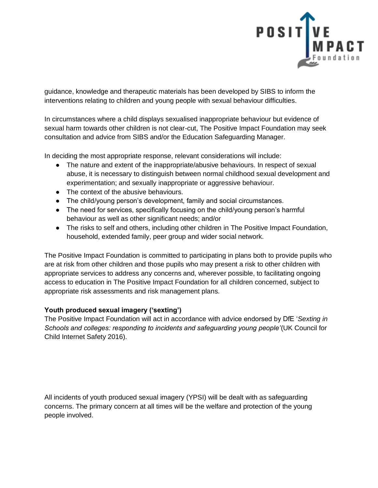

guidance, knowledge and therapeutic materials has been developed by SIBS to inform the interventions relating to children and young people with sexual behaviour difficulties.

In circumstances where a child displays sexualised inappropriate behaviour but evidence of sexual harm towards other children is not clear-cut, The Positive Impact Foundation may seek consultation and advice from SIBS and/or the Education Safeguarding Manager.

In deciding the most appropriate response, relevant considerations will include:

- The nature and extent of the inappropriate/abusive behaviours. In respect of sexual abuse, it is necessary to distinguish between normal childhood sexual development and experimentation; and sexually inappropriate or aggressive behaviour.
- The context of the abusive behaviours.
- The child/young person's development, family and social circumstances.
- The need for services, specifically focusing on the child/young person's harmful behaviour as well as other significant needs; and/or
- The risks to self and others, including other children in The Positive Impact Foundation, household, extended family, peer group and wider social network.

The Positive Impact Foundation is committed to participating in plans both to provide pupils who are at risk from other children and those pupils who may present a risk to other children with appropriate services to address any concerns and, wherever possible, to facilitating ongoing access to education in The Positive Impact Foundation for all children concerned, subject to appropriate risk assessments and risk management plans.

### **Youth produced sexual imagery ('sexting')**

The Positive Impact Foundation will act in accordance with advice endorsed by DfE '*Sexting in Schools and colleges: responding to incidents and safeguarding young people'*(UK Council for Child Internet Safety 2016).

All incidents of youth produced sexual imagery (YPSI) will be dealt with as safeguarding concerns. The primary concern at all times will be the welfare and protection of the young people involved.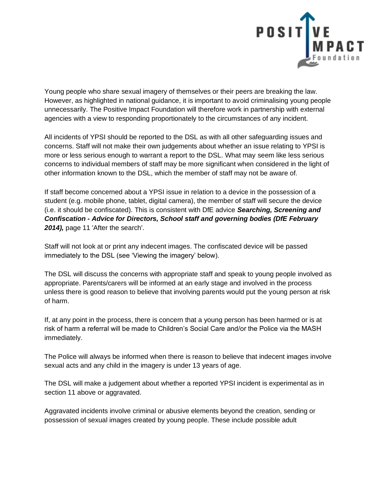

Young people who share sexual imagery of themselves or their peers are breaking the law. However, as highlighted in national guidance, it is important to avoid criminalising young people unnecessarily. The Positive Impact Foundation will therefore work in partnership with external agencies with a view to responding proportionately to the circumstances of any incident.

All incidents of YPSI should be reported to the DSL as with all other safeguarding issues and concerns. Staff will not make their own judgements about whether an issue relating to YPSI is more or less serious enough to warrant a report to the DSL. What may seem like less serious concerns to individual members of staff may be more significant when considered in the light of other information known to the DSL, which the member of staff may not be aware of.

If staff become concerned about a YPSI issue in relation to a device in the possession of a student (e.g. mobile phone, tablet, digital camera), the member of staff will secure the device (i.e. it should be confiscated). This is consistent with DfE advice *Searching, Screening and Confiscation - Advice for Directors, School staff and governing bodies (DfE February 2014),* page 11 'After the search'.

Staff will not look at or print any indecent images. The confiscated device will be passed immediately to the DSL (see 'Viewing the imagery' below).

The DSL will discuss the concerns with appropriate staff and speak to young people involved as appropriate. Parents/carers will be informed at an early stage and involved in the process unless there is good reason to believe that involving parents would put the young person at risk of harm.

If, at any point in the process, there is concern that a young person has been harmed or is at risk of harm a referral will be made to Children's Social Care and/or the Police via the MASH immediately.

The Police will always be informed when there is reason to believe that indecent images involve sexual acts and any child in the imagery is under 13 years of age.

The DSL will make a judgement about whether a reported YPSI incident is experimental as in section 11 above or aggravated.

Aggravated incidents involve criminal or abusive elements beyond the creation, sending or possession of sexual images created by young people. These include possible adult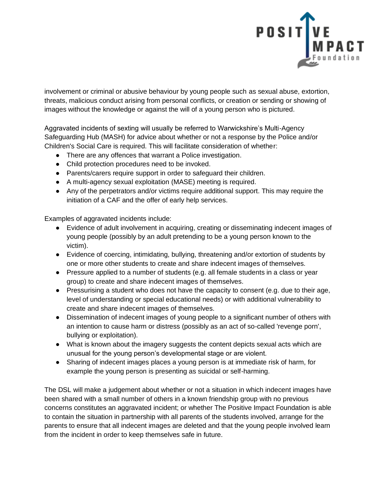

involvement or criminal or abusive behaviour by young people such as sexual abuse, extortion, threats, malicious conduct arising from personal conflicts, or creation or sending or showing of images without the knowledge or against the will of a young person who is pictured.

Aggravated incidents of sexting will usually be referred to Warwickshire's Multi-Agency Safeguarding Hub (MASH) for advice about whether or not a response by the Police and/or Children's Social Care is required. This will facilitate consideration of whether:

- There are any offences that warrant a Police investigation.
- Child protection procedures need to be invoked.
- Parents/carers require support in order to safeguard their children.
- A multi-agency sexual exploitation (MASE) meeting is required.
- Any of the perpetrators and/or victims require additional support. This may require the initiation of a CAF and the offer of early help services.

Examples of aggravated incidents include:

- Evidence of adult involvement in acquiring, creating or disseminating indecent images of young people (possibly by an adult pretending to be a young person known to the victim).
- Evidence of coercing, intimidating, bullying, threatening and/or extortion of students by one or more other students to create and share indecent images of themselves.
- Pressure applied to a number of students (e.g. all female students in a class or year group) to create and share indecent images of themselves.
- Pressurising a student who does not have the capacity to consent (e.g. due to their age, level of understanding or special educational needs) or with additional vulnerability to create and share indecent images of themselves.
- Dissemination of indecent images of young people to a significant number of others with an intention to cause harm or distress (possibly as an act of so-called 'revenge porn', bullying or exploitation).
- What is known about the imagery suggests the content depicts sexual acts which are unusual for the young person's developmental stage or are violent.
- Sharing of indecent images places a young person is at immediate risk of harm, for example the young person is presenting as suicidal or self-harming.

The DSL will make a judgement about whether or not a situation in which indecent images have been shared with a small number of others in a known friendship group with no previous concerns constitutes an aggravated incident; or whether The Positive Impact Foundation is able to contain the situation in partnership with all parents of the students involved, arrange for the parents to ensure that all indecent images are deleted and that the young people involved learn from the incident in order to keep themselves safe in future.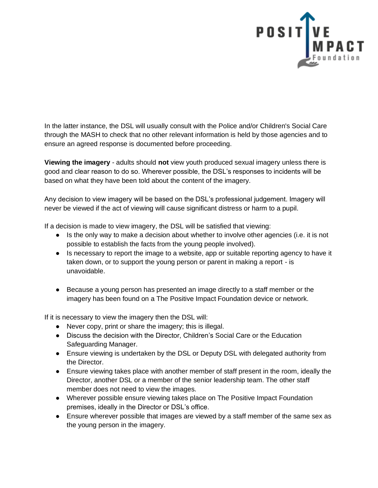

In the latter instance, the DSL will usually consult with the Police and/or Children's Social Care through the MASH to check that no other relevant information is held by those agencies and to ensure an agreed response is documented before proceeding.

**Viewing the imagery** - adults should **not** view youth produced sexual imagery unless there is good and clear reason to do so. Wherever possible, the DSL's responses to incidents will be based on what they have been told about the content of the imagery.

Any decision to view imagery will be based on the DSL's professional judgement. Imagery will never be viewed if the act of viewing will cause significant distress or harm to a pupil.

If a decision is made to view imagery, the DSL will be satisfied that viewing:

- Is the only way to make a decision about whether to involve other agencies (i.e. it is not possible to establish the facts from the young people involved).
- Is necessary to report the image to a website, app or suitable reporting agency to have it taken down, or to support the young person or parent in making a report - is unavoidable.
- Because a young person has presented an image directly to a staff member or the imagery has been found on a The Positive Impact Foundation device or network.

If it is necessary to view the imagery then the DSL will:

- Never copy, print or share the imagery; this is illegal.
- Discuss the decision with the Director, Children's Social Care or the Education Safeguarding Manager.
- Ensure viewing is undertaken by the DSL or Deputy DSL with delegated authority from the Director.
- Ensure viewing takes place with another member of staff present in the room, ideally the Director, another DSL or a member of the senior leadership team. The other staff member does not need to view the images.
- Wherever possible ensure viewing takes place on The Positive Impact Foundation premises, ideally in the Director or DSL's office.
- Ensure wherever possible that images are viewed by a staff member of the same sex as the young person in the imagery.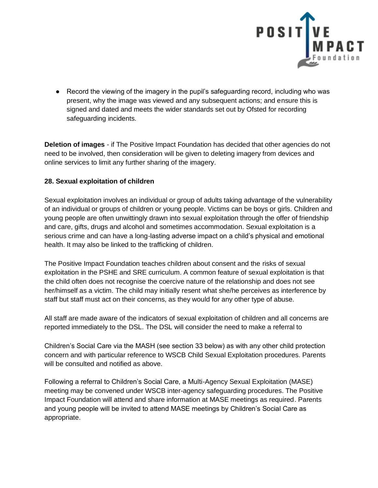

● Record the viewing of the imagery in the pupil's safeguarding record, including who was present, why the image was viewed and any subsequent actions; and ensure this is signed and dated and meets the wider standards set out by Ofsted for recording safeguarding incidents.

**Deletion of images** - if The Positive Impact Foundation has decided that other agencies do not need to be involved, then consideration will be given to deleting imagery from devices and online services to limit any further sharing of the imagery.

### **28. Sexual exploitation of children**

Sexual exploitation involves an individual or group of adults taking advantage of the vulnerability of an individual or groups of children or young people. Victims can be boys or girls. Children and young people are often unwittingly drawn into sexual exploitation through the offer of friendship and care, gifts, drugs and alcohol and sometimes accommodation. Sexual exploitation is a serious crime and can have a long-lasting adverse impact on a child's physical and emotional health. It may also be linked to the trafficking of children.

The Positive Impact Foundation teaches children about consent and the risks of sexual exploitation in the PSHE and SRE curriculum. A common feature of sexual exploitation is that the child often does not recognise the coercive nature of the relationship and does not see her/himself as a victim. The child may initially resent what she/he perceives as interference by staff but staff must act on their concerns, as they would for any other type of abuse.

All staff are made aware of the indicators of sexual exploitation of children and all concerns are reported immediately to the DSL. The DSL will consider the need to make a referral to

Children's Social Care via the MASH (see section 33 below) as with any other child protection concern and with particular reference to WSCB Child Sexual Exploitation procedures. Parents will be consulted and notified as above.

Following a referral to Children's Social Care, a Multi-Agency Sexual Exploitation (MASE) meeting may be convened under WSCB inter-agency safeguarding procedures. The Positive Impact Foundation will attend and share information at MASE meetings as required. Parents and young people will be invited to attend MASE meetings by Children's Social Care as appropriate.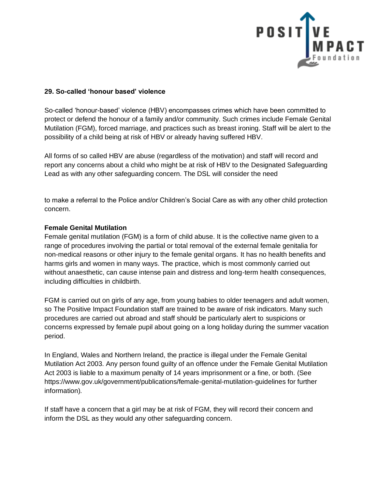

### **29. So-called 'honour based' violence**

So-called 'honour-based' violence (HBV) encompasses crimes which have been committed to protect or defend the honour of a family and/or community. Such crimes include Female Genital Mutilation (FGM), forced marriage, and practices such as breast ironing. Staff will be alert to the possibility of a child being at risk of HBV or already having suffered HBV.

All forms of so called HBV are abuse (regardless of the motivation) and staff will record and report any concerns about a child who might be at risk of HBV to the Designated Safeguarding Lead as with any other safeguarding concern. The DSL will consider the need

to make a referral to the Police and/or Children's Social Care as with any other child protection concern.

#### **Female Genital Mutilation**

Female genital mutilation (FGM) is a form of child abuse. It is the collective name given to a range of procedures involving the partial or total removal of the external female genitalia for non-medical reasons or other injury to the female genital organs. It has no health benefits and harms girls and women in many ways. The practice, which is most commonly carried out without anaesthetic, can cause intense pain and distress and long-term health consequences, including difficulties in childbirth.

FGM is carried out on girls of any age, from young babies to older teenagers and adult women, so The Positive Impact Foundation staff are trained to be aware of risk indicators. Many such procedures are carried out abroad and staff should be particularly alert to suspicions or concerns expressed by female pupil about going on a long holiday during the summer vacation period.

In England, Wales and Northern Ireland, the practice is illegal under the Female Genital Mutilation Act 2003. Any person found guilty of an offence under the Female Genital Mutilation Act 2003 is liable to a maximum penalty of 14 years imprisonment or a fine, or both. (See https://www.gov.uk/government/publications/female-genital-mutilation-guidelines for further information)*.* 

If staff have a concern that a girl may be at risk of FGM, they will record their concern and inform the DSL as they would any other safeguarding concern.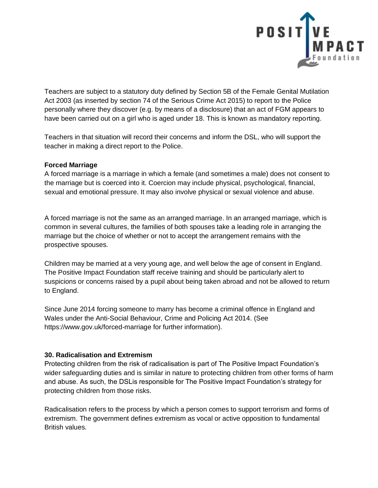

Teachers are subject to a statutory duty defined by Section 5B of the Female Genital Mutilation Act 2003 (as inserted by section 74 of the Serious Crime Act 2015) to report to the Police personally where they discover (e.g. by means of a disclosure) that an act of FGM appears to have been carried out on a girl who is aged under 18. This is known as mandatory reporting.

Teachers in that situation will record their concerns and inform the DSL, who will support the teacher in making a direct report to the Police.

#### **Forced Marriage**

A forced marriage is a marriage in which a female (and sometimes a male) does not consent to the marriage but is coerced into it. Coercion may include physical, psychological, financial, sexual and emotional pressure. It may also involve physical or sexual violence and abuse.

A forced marriage is not the same as an arranged marriage. In an arranged marriage, which is common in several cultures, the families of both spouses take a leading role in arranging the marriage but the choice of whether or not to accept the arrangement remains with the prospective spouses.

Children may be married at a very young age, and well below the age of consent in England. The Positive Impact Foundation staff receive training and should be particularly alert to suspicions or concerns raised by a pupil about being taken abroad and not be allowed to return to England.

Since June 2014 forcing someone to marry has become a criminal offence in England and Wales under the Anti-Social Behaviour, Crime and Policing Act 2014*.* (See https://www.gov.uk/forced-marriage for further information).

### **30. Radicalisation and Extremism**

Protecting children from the risk of radicalisation is part of The Positive Impact Foundation's wider safeguarding duties and is similar in nature to protecting children from other forms of harm and abuse. As such, the DSLis responsible for The Positive Impact Foundation's strategy for protecting children from those risks.

Radicalisation refers to the process by which a person comes to support terrorism and forms of extremism. The government defines extremism as vocal or active opposition to fundamental British values.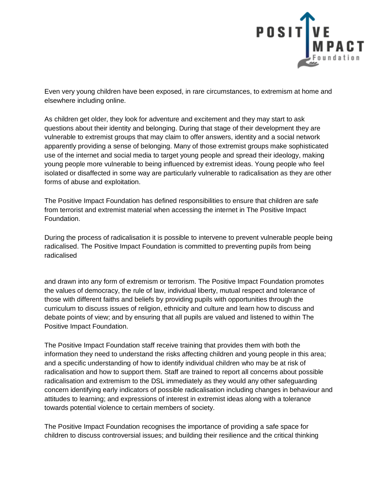

Even very young children have been exposed, in rare circumstances, to extremism at home and elsewhere including online.

As children get older, they look for adventure and excitement and they may start to ask questions about their identity and belonging. During that stage of their development they are vulnerable to extremist groups that may claim to offer answers, identity and a social network apparently providing a sense of belonging. Many of those extremist groups make sophisticated use of the internet and social media to target young people and spread their ideology, making young people more vulnerable to being influenced by extremist ideas. Young people who feel isolated or disaffected in some way are particularly vulnerable to radicalisation as they are other forms of abuse and exploitation.

The Positive Impact Foundation has defined responsibilities to ensure that children are safe from terrorist and extremist material when accessing the internet in The Positive Impact Foundation.

During the process of radicalisation it is possible to intervene to prevent vulnerable people being radicalised. The Positive Impact Foundation is committed to preventing pupils from being radicalised

and drawn into any form of extremism or terrorism. The Positive Impact Foundation promotes the values of democracy, the rule of law, individual liberty, mutual respect and tolerance of those with different faiths and beliefs by providing pupils with opportunities through the curriculum to discuss issues of religion, ethnicity and culture and learn how to discuss and debate points of view; and by ensuring that all pupils are valued and listened to within The Positive Impact Foundation.

The Positive Impact Foundation staff receive training that provides them with both the information they need to understand the risks affecting children and young people in this area; and a specific understanding of how to identify individual children who may be at risk of radicalisation and how to support them. Staff are trained to report all concerns about possible radicalisation and extremism to the DSL immediately as they would any other safeguarding concern identifying early indicators of possible radicalisation including changes in behaviour and attitudes to learning; and expressions of interest in extremist ideas along with a tolerance towards potential violence to certain members of society.

The Positive Impact Foundation recognises the importance of providing a safe space for children to discuss controversial issues; and building their resilience and the critical thinking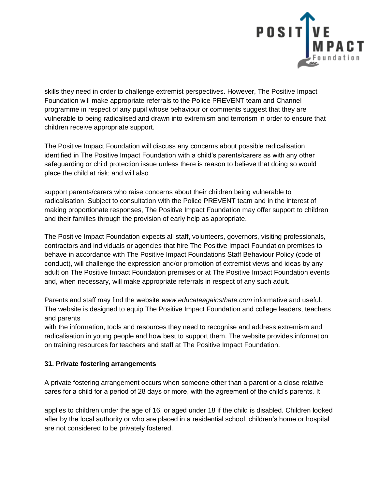

skills they need in order to challenge extremist perspectives. However, The Positive Impact Foundation will make appropriate referrals to the Police PREVENT team and Channel programme in respect of any pupil whose behaviour or comments suggest that they are vulnerable to being radicalised and drawn into extremism and terrorism in order to ensure that children receive appropriate support.

The Positive Impact Foundation will discuss any concerns about possible radicalisation identified in The Positive Impact Foundation with a child's parents/carers as with any other safeguarding or child protection issue unless there is reason to believe that doing so would place the child at risk; and will also

support parents/carers who raise concerns about their children being vulnerable to radicalisation. Subject to consultation with the Police PREVENT team and in the interest of making proportionate responses, The Positive Impact Foundation may offer support to children and their families through the provision of early help as appropriate.

The Positive Impact Foundation expects all staff, volunteers, governors, visiting professionals, contractors and individuals or agencies that hire The Positive Impact Foundation premises to behave in accordance with The Positive Impact Foundations Staff Behaviour Policy (code of conduct), will challenge the expression and/or promotion of extremist views and ideas by any adult on The Positive Impact Foundation premises or at The Positive Impact Foundation events and, when necessary, will make appropriate referrals in respect of any such adult.

Parents and staff may find the website *www.educateagainsthate.com* informative and useful. The website is designed to equip The Positive Impact Foundation and college leaders, teachers and parents

with the information, tools and resources they need to recognise and address extremism and radicalisation in young people and how best to support them. The website provides information on training resources for teachers and staff at The Positive Impact Foundation.

# **31. Private fostering arrangements**

A private fostering arrangement occurs when someone other than a parent or a close relative cares for a child for a period of 28 days or more, with the agreement of the child's parents. It

applies to children under the age of 16, or aged under 18 if the child is disabled. Children looked after by the local authority or who are placed in a residential school, children's home or hospital are not considered to be privately fostered.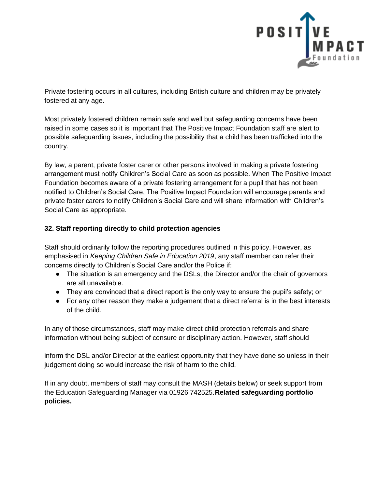

Private fostering occurs in all cultures, including British culture and children may be privately fostered at any age.

Most privately fostered children remain safe and well but safeguarding concerns have been raised in some cases so it is important that The Positive Impact Foundation staff are alert to possible safeguarding issues, including the possibility that a child has been trafficked into the country.

By law, a parent, private foster carer or other persons involved in making a private fostering arrangement must notify Children's Social Care as soon as possible. When The Positive Impact Foundation becomes aware of a private fostering arrangement for a pupil that has not been notified to Children's Social Care, The Positive Impact Foundation will encourage parents and private foster carers to notify Children's Social Care and will share information with Children's Social Care as appropriate.

# **32. Staff reporting directly to child protection agencies**

Staff should ordinarily follow the reporting procedures outlined in this policy. However, as emphasised in *Keeping Children Safe in Education 2019*, any staff member can refer their concerns directly to Children's Social Care and/or the Police if:

- The situation is an emergency and the DSLs, the Director and/or the chair of governors are all unavailable.
- They are convinced that a direct report is the only way to ensure the pupil's safety; or
- For any other reason they make a judgement that a direct referral is in the best interests of the child.

In any of those circumstances, staff may make direct child protection referrals and share information without being subject of censure or disciplinary action. However, staff should

inform the DSL and/or Director at the earliest opportunity that they have done so unless in their judgement doing so would increase the risk of harm to the child.

If in any doubt, members of staff may consult the MASH (details below) or seek support from the Education Safeguarding Manager via 01926 742525.**Related safeguarding portfolio policies.**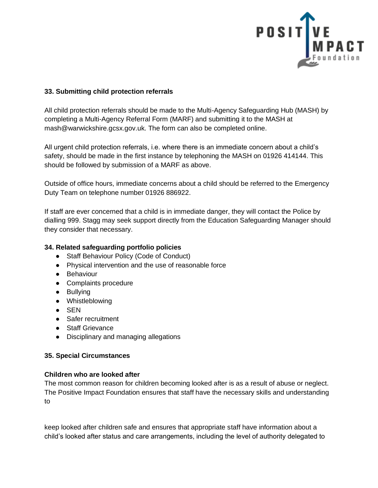

### **33. Submitting child protection referrals**

All child protection referrals should be made to the Multi-Agency Safeguarding Hub (MASH) by completing a Multi-Agency Referral Form (MARF) and submitting it to the MASH at mash@warwickshire.gcsx.gov.uk. The form can also be completed online.

All urgent child protection referrals, i.e. where there is an immediate concern about a child's safety, should be made in the first instance by telephoning the MASH on 01926 414144. This should be followed by submission of a MARF as above.

Outside of office hours, immediate concerns about a child should be referred to the Emergency Duty Team on telephone number 01926 886922.

If staff are ever concerned that a child is in immediate danger, they will contact the Police by dialling 999. Stagg may seek support directly from the Education Safeguarding Manager should they consider that necessary.

### **34. Related safeguarding portfolio policies**

- Staff Behaviour Policy (Code of Conduct)
- Physical intervention and the use of reasonable force
- Behaviour
- Complaints procedure
- Bullying
- Whistleblowing
- SEN
- Safer recruitment
- Staff Grievance
- Disciplinary and managing allegations

### **35. Special Circumstances**

### **Children who are looked after**

The most common reason for children becoming looked after is as a result of abuse or neglect. The Positive Impact Foundation ensures that staff have the necessary skills and understanding to

keep looked after children safe and ensures that appropriate staff have information about a child's looked after status and care arrangements, including the level of authority delegated to